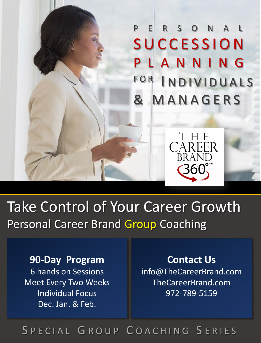PERSONAL **SUCCESSION LANNING** FOR INDIVIDUALS & MANAGERS



Take Control of Your Career Growth Personal Career Brand Group Coaching

**90-Day Program** 6 hands on Sessions Meet Every Two Weeks Individual Focus Dec. Jan. & Feb.

**Contact Us** info@TheCareerBrand.com TheCareerBrand.com 972-789-5159

## SPECIAL GROUP COACHING SERIES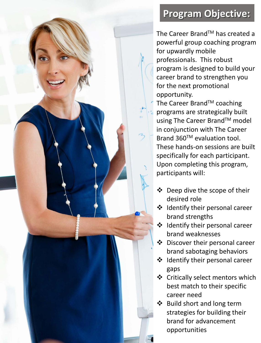# **Program Objective:**

The Career Brand™ has created a powerful group coaching program for upwardly mobile professionals. This robust program is designed to build your career brand to strengthen you for the next promotional opportunity.

The Career Brand™ coaching programs are strategically built using The Career Brand™ model in conjunction with The Career Brand 360™ evaluation tool. These hands-on sessions are built specifically for each participant. Upon completing this program, participants will:

- Deep dive the scope of their desired role
- $\div$  Identify their personal career brand strengths
- $\triangleleft$  Identify their personal career brand weaknesses
- Discover their personal career brand sabotaging behaviors
- $\triangleleft$  Identify their personal career gaps
- Critically select mentors which best match to their specific career need
- ❖ Build short and long term strategies for building their brand for advancement opportunities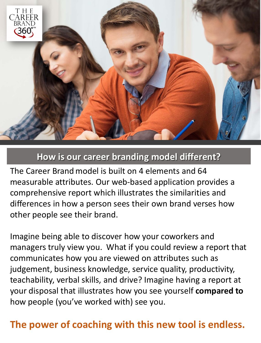

### **How is our career branding model different?**

The Career Brandmodel is built on 4 elements and 64 measurable attributes. Our web-based application provides a comprehensive report which illustrates the similarities and differences in how a person sees their own brand verses how other people see their brand.

Imagine being able to discover how your coworkers and managers truly view you. What if you could review a report that communicates how you are viewed on attributes such as judgement, business knowledge, service quality, productivity, teachability, verbal skills, and drive? Imagine having a report at your disposal that illustrates how you see yourself **compared to**  how people (you've worked with) see you.

## **The power of coaching with this new tool is endless.**